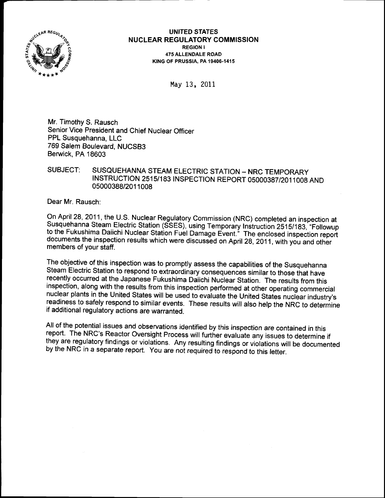

UNITED STATES NUCLEAR REGULATORY COMMISSION REGION I 4T5ALLENDALE ROAD K|NG OF PRUSS|A. PA 19406-1415

May 13, 2011

Mr. Timothy S. Rausch Senior Vice President and Chief Nuclear Officer PPL Susquehanna, LLC 769 Salem Boulevard, NUCSB3 Berwick, PA 18603

## SUBJECT: SUSQUEHANNA STEAM ELECTRIC STATION - NRC TEMPORARY INSTRUCTION 2515/183 INSPECTION REPORT 05000387/2011008 AND 05000388/201 1008

Dear Mr. Rausch:

On April 28, 2011, the U.S. Nuclear Regulatory Commission (NRC) completed an inspection at Susquehanna Steam Electric Station (SSES), using Temporary Instruction 2515/183, "Followup to the Fukushima Daiichi Nuclear Station documents the inspection results which were discussed on April 28, 2011, with you and other members of your staff.

The objective of this inspection was to promptly assess the capabilities of the Susquehanna<br>Steam Electric Station to respond to extraordinary consequences similar to those that have recently occurred at the Japanese Fukushima Daiichi Nuclear Station. The results from this inspection, along with the results from this inspection performed at other operating commercial nuclear plants in the United States will be used to evaluate the United States nuclear industry's readiness to safely respond to similar events. These results will also help the NRC to determine if additional regulatory actions are warranted.

All of the potential issues and observations identified by this inspection are contained in this report. The NRC's Reactor Oversight Process will further evaluate any issues to determine if they are regulatory findings or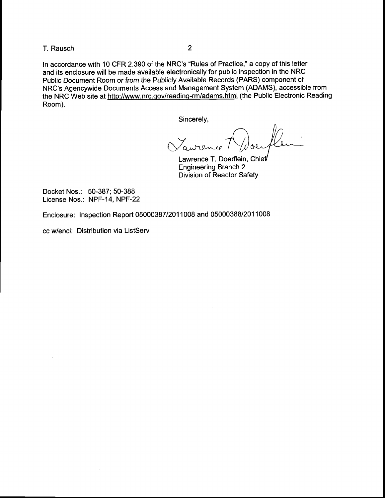T. Rausch <sup>2</sup>

ln accordance with 10 CFR 2.390 of the NRC's "Rules of Practice," a copy of this letter and its enclosure will be made available electronically for public inspection in the NRC Public Document Room or from the Publicly Available Records (PARS) component of NRC's Agencywide Documents Access and Management System (ADAMS), accessible from the NRC Web site at http://www.nrc.gov/reading-rm/adams.html (the Public Electronic Reading Room).

Sincerely,

 $\sigma$ ure

Lawrence T. Doerflein, Chief Engineering Branch 2 Division of Reactor Safety

Docket Nos.: 50-387; 50-388 License Nos.: NPF-14, NPF-22

Enclosure: Inspection Report 05000387/201 1008 and 05000388/201 1008

cc w/encl: Distribution via ListServ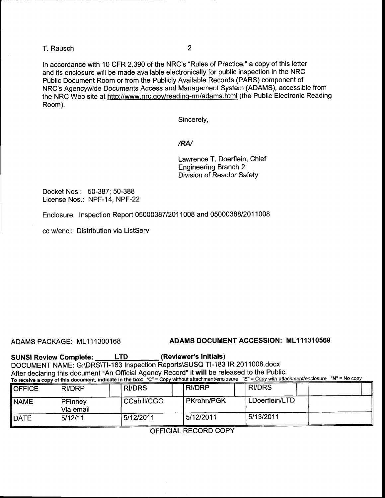## T. Rausch <sup>2</sup>

ln accordance with 10 CFR 2.390 of the NRC's "Rules of Practice," a copy of this letter and its enclosure will be made available electronically for public inspection in the NRC Public Document Room or from the Publicly Available Records (PARS) component of NRC's Agencywide Documents Access and Management System (ADAMS), accessible from the NRC Web site at http://www.nrc.qov/readinq-rmiadams.html (the Public Electronic Reading Room).

Sincerely,

#### /RN

Lawrence T. Doerflein, Chief Engineering Branch 2 Division of Reactor Safety

Docket Nos.: 50-387; 50-388 License Nos.: NPF-14, NPF-22

Enclosure: Inspection Report 05000387/201 1008 and 05000388/201 1008

cc Mencl: Distribution via ListServ

## ADAMS PACKAGE: ML11 1300168 ADAMS DOCUMENT ACCESSION: ML111310569

SUNSI Review Complete: LTD \_\_\_\_ (Reviewer's Initials) DOCUMENT NAME: G:\DRS\T|-183 Inspection Reports\SUSQ Tl-183 lR 2011008.docx After declaring this document "An Official Agency Record" it will be released to the Public. To receive a copy of this document, indicate in the box: "C" = Copy without attachment/enclosure "E" = Copy with attachment/enclosure "N" = No

| <b>OFFICE</b> | <b>RI/DRP</b>        | <b>RI/DRS</b> | <b>RI/DRP</b>     | <b>RI/DRS</b>   |
|---------------|----------------------|---------------|-------------------|-----------------|
| <b>NAME</b>   | PFinney<br>Via email | CCahill/CGC   | <b>PKrohn/PGK</b> | 'LDoerflein/LTD |
| <b>DATE</b>   | 5/12/11              | 5/12/2011     | 5/12/2011         | 5/13/2011       |

OFFICIAL RECORD COPY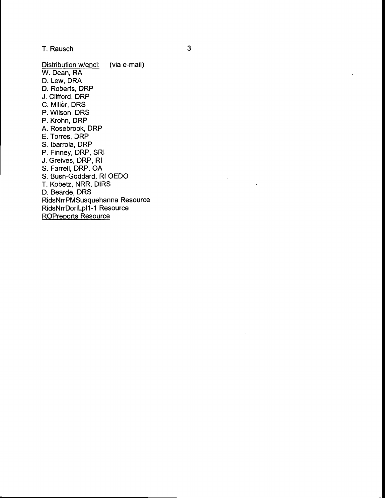T. Rausch

Distribution w/encl: (via e-mail) W. Dean, RA D. Lew, DRA D. Roberts, DRP J. Clifford, DRP C. Miller, DRS P. Wilson, DRS P. Krohn, DRP A. Rosebrook, DRP E. Torres, DRP S. lbarrola, DRP P. Finney, DRP, SRI J. Greives, DRP, Rl S. Farrell, DRP, OA S. Bush-Goddard, Rl OEDO T. Kobetz, NRR, DIRS D. Bearde, DRS RidsNrrPMSusquehanna Resource RidsNrrDorlLpll -1 Resource ROPreports Resource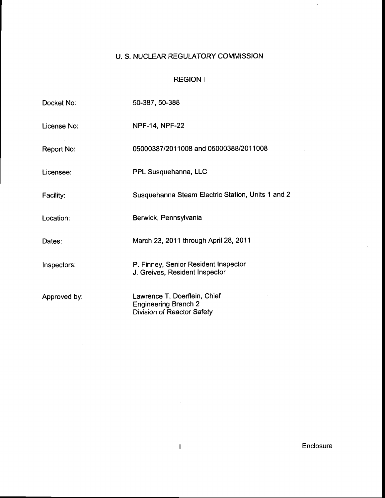# U. S. NUCLEAR REGULATORY COMMISSION

## REGION <sup>I</sup>

| Docket No:       | 50-387, 50-388                                                                                   |
|------------------|--------------------------------------------------------------------------------------------------|
| License No:      | <b>NPF-14, NPF-22</b>                                                                            |
| Report No:       | 05000387/2011008 and 05000388/2011008                                                            |
| Licensee:        | PPL Susquehanna, LLC                                                                             |
| <b>Facility:</b> | Susquehanna Steam Electric Station, Units 1 and 2                                                |
| Location:        | Berwick, Pennsylvania                                                                            |
| Dates:           | March 23, 2011 through April 28, 2011                                                            |
| Inspectors:      | P. Finney, Senior Resident Inspector<br>J. Greives, Resident Inspector                           |
| Approved by:     | Lawrence T. Doerflein, Chief<br><b>Engineering Branch 2</b><br><b>Division of Reactor Safety</b> |

 $\mathbf{i}$ 

Enclosure

 $\mathcal{A}^{\mathcal{A}}$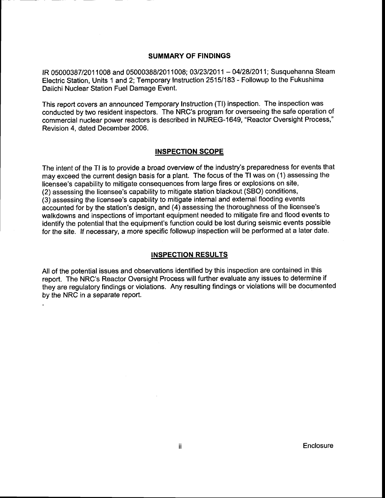### SUMMARY OF FINDINGS

fR 0500038712011008 and 0500038812011008; 0312312011 - 0412812011; Susquehanna steam Electric Station, Units 1 and 2; Temporary Instruction 25151183 - Followup to the Fukushima Daiichi Nuclear Station Fuel Damage Event.

This report covers an announced Temporary Instruction (Tl) inspection. The inspection was conducted by two resident inspectors. The NRC's program for overseeing the safe operation of commercial nuclear power reactors is described in NUREG-1649, "Reactor Oversight Process," Revision 4, dated December 2006.

### INSPECTION SCOPE

The intent of the Tl is to provide a broad overview of the industry's preparedness for events that may exceed the current design basis for a plant. The focus of the Tl was on (1) assessing the licensee's capability to mitigate consequences from large fires or explosions on site, (2) assessing the licensee's capability to mitigate station blackout (SBO) conditions, (3) assessing the licensee's capability to mitigate internal and external flooding events accounted for by the station's design, and (4) assessing the thoroughness of the licensee's walkdowns and inspections of important equipment needed to mitigate fire and flood events to identify the potential that the equipment's function could be lost during seismic events possible for the site. lf necessary, a more specific followup inspection will be performed at a later date.

### INSPECTION RESULTS

All of the potential issues and observations identified by this inspection are contained in this report. The NRC's Reactor Oversight Process will further evaluate any issues to determine if they are regulatory findings or violations. Any resulting findings or violations will be documented by the NRC in a separate report.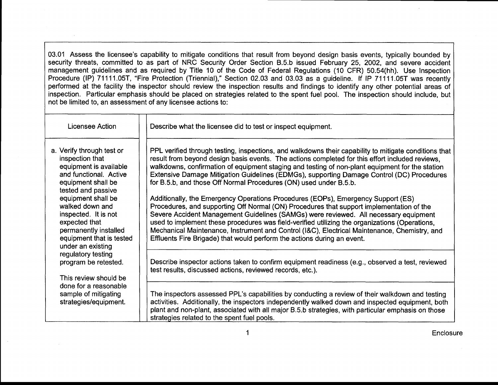03.01 Assess the licensee's capability to mitigate conditions that result from beyond design basis events, typically bounded by security threats, committed to as part of NRC Security Order Section B.5.b issued February 25, 2002, and severe accident management guidelines and as required by Title 10 of the Code of Federal Regulations (10 CFR) 50.54(hh). Use Inspection Procedure (IP) 71111.05T, "Fire Protection (Triennial)," Section 02.03 and 03.03 as a guideline. If IP 71111.05T was recently performed at the facility the inspector should review the inspection results and findings to identify any other potential areas of inspection. Particular emphasis should be placed on strategies related to the spent fuel pool. The inspection should include, but not be limited to, an assessment of any licensee actions to:

| Licensee Action                                                                                                                                          | Describe what the licensee did to test or inspect equipment.                                                                                                                                                                                                                                                                                                                                                                                                                                                                                      |
|----------------------------------------------------------------------------------------------------------------------------------------------------------|---------------------------------------------------------------------------------------------------------------------------------------------------------------------------------------------------------------------------------------------------------------------------------------------------------------------------------------------------------------------------------------------------------------------------------------------------------------------------------------------------------------------------------------------------|
| a. Verify through test or<br>inspection that<br>equipment is available<br>and functional. Active<br>equipment shall be<br>tested and passive             | PPL verified through testing, inspections, and walkdowns their capability to mitigate conditions that<br>result from beyond design basis events. The actions completed for this effort included reviews,<br>walkdowns, confirmation of equipment staging and testing of non-plant equipment for the station<br>Extensive Damage Mitigation Guidelines (EDMGs), supporting Damage Control (DC) Procedures<br>for B.5.b, and those Off Normal Procedures (ON) used under B.5.b.                                                                     |
| equipment shall be<br>walked down and<br>inspected. It is not<br>expected that<br>permanently installed<br>equipment that is tested<br>under an existing | Additionally, the Emergency Operations Procedures (EOPs), Emergency Support (ES)<br>Procedures, and supporting Off Normal (ON) Procedures that support implementation of the<br>Severe Accident Management Guidelines (SAMGs) were reviewed. All necessary equipment<br>used to implement these procedures was field-verified utilizing the organizations (Operations,<br>Mechanical Maintenance, Instrument and Control (I&C), Electrical Maintenance, Chemistry, and<br>Effluents Fire Brigade) that would perform the actions during an event. |
| regulatory testing<br>program be retested.<br>This review should be                                                                                      | Describe inspector actions taken to confirm equipment readiness (e.g., observed a test, reviewed<br>test results, discussed actions, reviewed records, etc.).                                                                                                                                                                                                                                                                                                                                                                                     |
| done for a reasonable<br>sample of mitigating<br>strategies/equipment.                                                                                   | The inspectors assessed PPL's capabilities by conducting a review of their walkdown and testing<br>activities. Additionally, the inspectors independently walked down and inspected equipment, both<br>plant and non-plant, associated with all major B.5.b strategies, with particular emphasis on those<br>strategies related to the spent fuel pools.                                                                                                                                                                                          |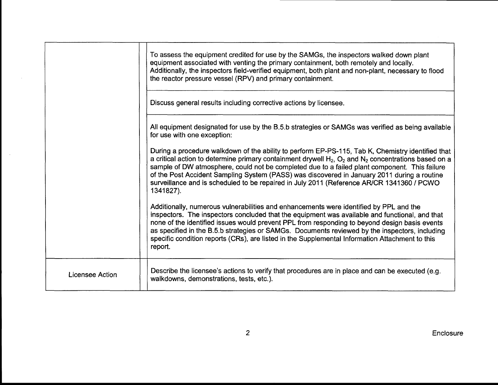|                 | To assess the equipment credited for use by the SAMGs, the inspectors walked down plant<br>equipment associated with venting the primary containment, both remotely and locally.<br>Additionally, the inspectors field-verified equipment, both plant and non-plant, necessary to flood<br>the reactor pressure vessel (RPV) and primary containment.                                                                                                                                                                       |
|-----------------|-----------------------------------------------------------------------------------------------------------------------------------------------------------------------------------------------------------------------------------------------------------------------------------------------------------------------------------------------------------------------------------------------------------------------------------------------------------------------------------------------------------------------------|
|                 | Discuss general results including corrective actions by licensee.                                                                                                                                                                                                                                                                                                                                                                                                                                                           |
|                 | All equipment designated for use by the B.5.b strategies or SAMGs was verified as being available<br>for use with one exception:                                                                                                                                                                                                                                                                                                                                                                                            |
|                 | During a procedure walkdown of the ability to perform EP-PS-115, Tab K, Chemistry identified that<br>a critical action to determine primary containment drywell $H_2$ , $O_2$ and $N_2$ concentrations based on a<br>sample of DW atmosphere, could not be completed due to a failed plant component. This failure<br>of the Post Accident Sampling System (PASS) was discovered in January 2011 during a routine<br>surveillance and is scheduled to be repaired in July 2011 (Reference AR/CR 1341360 / PCWO<br>1341827). |
|                 | Additionally, numerous vulnerabilities and enhancements were identified by PPL and the<br>inspectors. The inspectors concluded that the equipment was available and functional, and that<br>none of the identified issues would prevent PPL from responding to beyond design basis events<br>as specified in the B.5.b strategies or SAMGs. Documents reviewed by the inspectors, including<br>specific condition reports (CRs), are listed in the Supplemental Information Attachment to this<br>report.                   |
| Licensee Action | Describe the licensee's actions to verify that procedures are in place and can be executed (e.g.<br>walkdowns, demonstrations, tests, etc.).                                                                                                                                                                                                                                                                                                                                                                                |

 $\sim$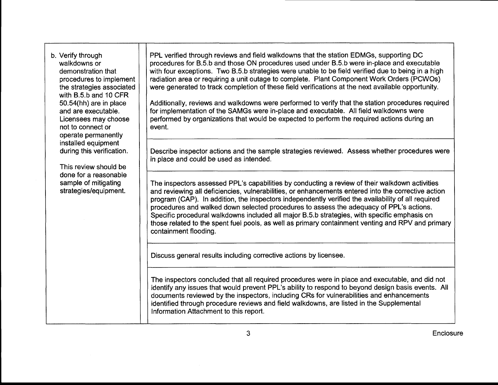| b. Verify through<br>walkdowns or<br>demonstration that<br>procedures to implement<br>the strategies associated<br>with B.5.b and 10 CFR<br>50.54(hh) are in place<br>and are executable.<br>Licensees may choose<br>not to connect or<br>operate permanently<br>installed equipment<br>during this verification.<br>This review should be<br>done for a reasonable<br>sample of mitigating<br>strategies/equipment. | PPL verified through reviews and field walkdowns that the station EDMGs, supporting DC<br>procedures for B.5.b and those ON procedures used under B.5.b were in-place and executable<br>with four exceptions. Two B.5.b strategies were unable to be field verified due to being in a high<br>radiation area or requiring a unit outage to complete. Plant Component Work Orders (PCWOs)<br>were generated to track completion of these field verifications at the next available opportunity.<br>Additionally, reviews and walkdowns were performed to verify that the station procedures required<br>for implementation of the SAMGs were in-place and executable. All field walkdowns were<br>performed by organizations that would be expected to perform the required actions during an<br>event. |
|----------------------------------------------------------------------------------------------------------------------------------------------------------------------------------------------------------------------------------------------------------------------------------------------------------------------------------------------------------------------------------------------------------------------|--------------------------------------------------------------------------------------------------------------------------------------------------------------------------------------------------------------------------------------------------------------------------------------------------------------------------------------------------------------------------------------------------------------------------------------------------------------------------------------------------------------------------------------------------------------------------------------------------------------------------------------------------------------------------------------------------------------------------------------------------------------------------------------------------------|
|                                                                                                                                                                                                                                                                                                                                                                                                                      | Describe inspector actions and the sample strategies reviewed. Assess whether procedures were<br>in place and could be used as intended.                                                                                                                                                                                                                                                                                                                                                                                                                                                                                                                                                                                                                                                               |
|                                                                                                                                                                                                                                                                                                                                                                                                                      | The inspectors assessed PPL's capabilities by conducting a review of their walkdown activities<br>and reviewing all deficiencies, vulnerabilities, or enhancements entered into the corrective action<br>program (CAP). In addition, the inspectors independently verified the availability of all required<br>procedures and walked down selected procedures to assess the adequacy of PPL's actions.<br>Specific procedural walkdowns included all major B.5.b strategies, with specific emphasis on<br>those related to the spent fuel pools, as well as primary containment venting and RPV and primary<br>containment flooding.                                                                                                                                                                   |
|                                                                                                                                                                                                                                                                                                                                                                                                                      | Discuss general results including corrective actions by licensee.                                                                                                                                                                                                                                                                                                                                                                                                                                                                                                                                                                                                                                                                                                                                      |
|                                                                                                                                                                                                                                                                                                                                                                                                                      | The inspectors concluded that all required procedures were in place and executable, and did not<br>identify any issues that would prevent PPL's ability to respond to beyond design basis events. All<br>documents reviewed by the inspectors, including CRs for vulnerabilities and enhancements<br>identified through procedure reviews and field walkdowns, are listed in the Supplemental<br>Information Attachment to this report.                                                                                                                                                                                                                                                                                                                                                                |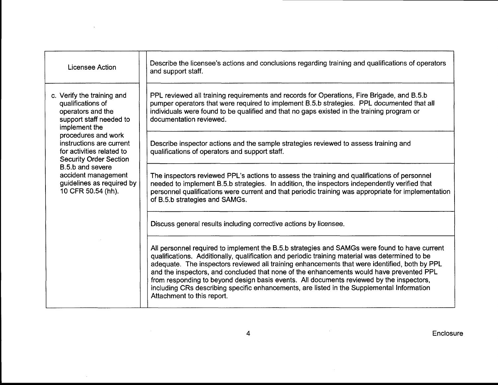| <b>Licensee Action</b>                                                                                                                                                                                                                                                                                                          | Describe the licensee's actions and conclusions regarding training and qualifications of operators<br>and support staff.                                                                                                                                                                                                                                                                                                                                                                                                                                                                                              |
|---------------------------------------------------------------------------------------------------------------------------------------------------------------------------------------------------------------------------------------------------------------------------------------------------------------------------------|-----------------------------------------------------------------------------------------------------------------------------------------------------------------------------------------------------------------------------------------------------------------------------------------------------------------------------------------------------------------------------------------------------------------------------------------------------------------------------------------------------------------------------------------------------------------------------------------------------------------------|
| c. Verify the training and<br>qualifications of<br>operators and the<br>support staff needed to<br>implement the<br>procedures and work<br>instructions are current<br>for activities related to<br><b>Security Order Section</b><br>B.5.b and severe<br>accident management<br>guidelines as required by<br>10 CFR 50.54 (hh). | PPL reviewed all training requirements and records for Operations, Fire Brigade, and B.5.b<br>pumper operators that were required to implement B.5.b strategies. PPL documented that all<br>individuals were found to be qualified and that no gaps existed in the training program or<br>documentation reviewed.                                                                                                                                                                                                                                                                                                     |
|                                                                                                                                                                                                                                                                                                                                 | Describe inspector actions and the sample strategies reviewed to assess training and<br>qualifications of operators and support staff.                                                                                                                                                                                                                                                                                                                                                                                                                                                                                |
|                                                                                                                                                                                                                                                                                                                                 | The inspectors reviewed PPL's actions to assess the training and qualifications of personnel<br>needed to implement B.5.b strategies. In addition, the inspectors independently verified that<br>personnel qualifications were current and that periodic training was appropriate for implementation<br>of B.5.b strategies and SAMGs.                                                                                                                                                                                                                                                                                |
|                                                                                                                                                                                                                                                                                                                                 | Discuss general results including corrective actions by licensee.                                                                                                                                                                                                                                                                                                                                                                                                                                                                                                                                                     |
|                                                                                                                                                                                                                                                                                                                                 | All personnel required to implement the B.5.b strategies and SAMGs were found to have current<br>qualifications. Additionally, qualification and periodic training material was determined to be<br>adequate. The inspectors reviewed all training enhancements that were identified, both by PPL<br>and the inspectors, and concluded that none of the enhancements would have prevented PPL<br>from responding to beyond design basis events. All documents reviewed by the inspectors,<br>including CRs describing specific enhancements, are listed in the Supplemental Information<br>Attachment to this report. |

 $\sim 10$ 

 $\sim$   $\sim$ 

 $\sim$   $\sim$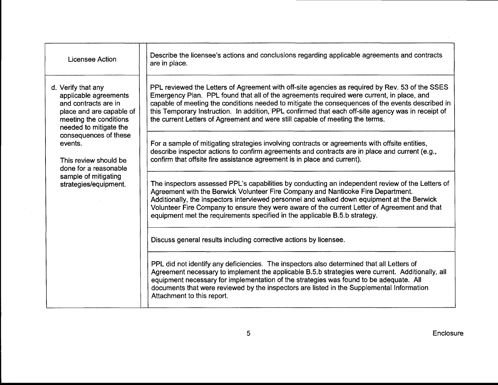| Licensee Action                                                                                                                                     | Describe the licensee's actions and conclusions regarding applicable agreements and contracts<br>are in place.                                                                                                                                                                                                                                                                                                                                                                          |
|-----------------------------------------------------------------------------------------------------------------------------------------------------|-----------------------------------------------------------------------------------------------------------------------------------------------------------------------------------------------------------------------------------------------------------------------------------------------------------------------------------------------------------------------------------------------------------------------------------------------------------------------------------------|
| d. Verify that any<br>applicable agreements<br>and contracts are in<br>place and are capable of<br>meeting the conditions<br>needed to mitigate the | PPL reviewed the Letters of Agreement with off-site agencies as required by Rev. 53 of the SSES<br>Emergency Plan. PPL found that all of the agreements required were current, in place, and<br>capable of meeting the conditions needed to mitigate the consequences of the events described in<br>this Temporary Instruction. In addition, PPL confirmed that each off-site agency was in receipt of<br>the current Letters of Agreement and were still capable of meeting the terms. |
| consequences of these<br>events.<br>This review should be<br>done for a reasonable                                                                  | For a sample of mitigating strategies involving contracts or agreements with offsite entities,<br>describe inspector actions to confirm agreements and contracts are in place and current (e.g.,<br>confirm that offsite fire assistance agreement is in place and current).                                                                                                                                                                                                            |
| sample of mitigating<br>strategies/equipment.                                                                                                       | The inspectors assessed PPL's capabilities by conducting an independent review of the Letters of<br>Agreement with the Berwick Volunteer Fire Company and Nanticoke Fire Department.<br>Additionally, the inspectors interviewed personnel and walked down equipment at the Berwick<br>Volunteer Fire Company to ensure they were aware of the current Letter of Agreement and that<br>equipment met the requirements specified in the applicable B.5.b strategy.                       |
|                                                                                                                                                     | Discuss general results including corrective actions by licensee.                                                                                                                                                                                                                                                                                                                                                                                                                       |
|                                                                                                                                                     | PPL did not identify any deficiencies. The inspectors also determined that all Letters of<br>Agreement necessary to implement the applicable B.5.b strategies were current. Additionally, all<br>equipment necessary for implementation of the strategies was found to be adequate. All<br>documents that were reviewed by the inspectors are listed in the Supplemental Information<br>Attachment to this report.                                                                      |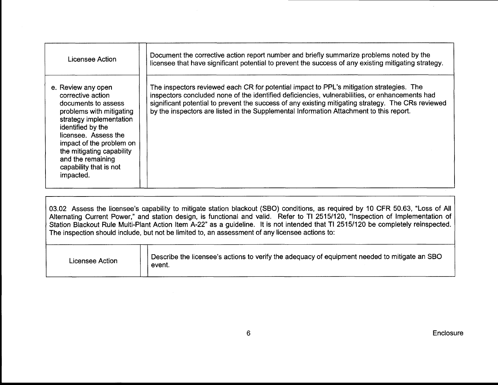| Licensee Action                                                                                                                                                                                                                                                                         | Document the corrective action report number and briefly summarize problems noted by the<br>licensee that have significant potential to prevent the success of any existing mitigating strategy.                                                                                                                                                                                            |
|-----------------------------------------------------------------------------------------------------------------------------------------------------------------------------------------------------------------------------------------------------------------------------------------|---------------------------------------------------------------------------------------------------------------------------------------------------------------------------------------------------------------------------------------------------------------------------------------------------------------------------------------------------------------------------------------------|
| e. Review any open<br>corrective action<br>documents to assess<br>problems with mitigating<br>strategy implementation<br>identified by the<br>licensee. Assess the<br>impact of the problem on<br>the mitigating capability<br>and the remaining<br>capability that is not<br>impacted. | The inspectors reviewed each CR for potential impact to PPL's mitigation strategies. The<br>inspectors concluded none of the identified deficiencies, vulnerabilities, or enhancements had<br>significant potential to prevent the success of any existing mitigating strategy. The CRs reviewed<br>by the inspectors are listed in the Supplemental Information Attachment to this report. |

03.02 Assess the licensee's capability to mitigate station blackout (SBO) conditions, as required by 10 CFR 50.63, "Loss of All Alternating Current Power," and station design, is functional and valid. Refer to TI 2515/120, "Inspection of Implementation of Station Blackout Rule Multi-Plant Action ltem A-22" as a guideline. lt is not intended that Tl 25151120 be completely reinspected. The inspection should include, but not be limited to, an assessment of any licensee actions to:

| $\beta$ Describe the licensee's actions to verify the adequacy of equipment needed to mitigate an SBO<br>Licensee Action<br>event. |
|------------------------------------------------------------------------------------------------------------------------------------|
|------------------------------------------------------------------------------------------------------------------------------------|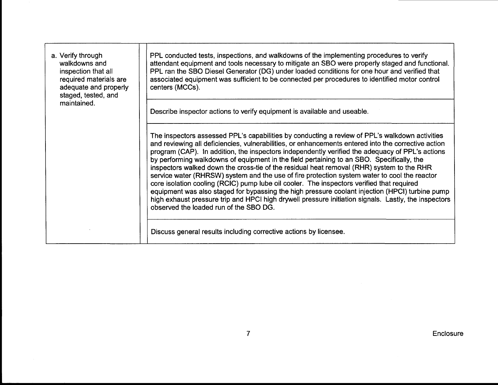| a. Verify through<br>walkdowns and<br>inspection that all<br>required materials are<br>adequate and properly<br>staged, tested, and<br>maintained. | PPL conducted tests, inspections, and walkdowns of the implementing procedures to verify<br>attendant equipment and tools necessary to mitigate an SBO were properly staged and functional.<br>PPL ran the SBO Diesel Generator (DG) under loaded conditions for one hour and verified that<br>associated equipment was sufficient to be connected per procedures to identified motor control<br>centers (MCCs).                                                                                                                                                                                                                                                                                                                                                                                                                                                                                                                                     |
|----------------------------------------------------------------------------------------------------------------------------------------------------|------------------------------------------------------------------------------------------------------------------------------------------------------------------------------------------------------------------------------------------------------------------------------------------------------------------------------------------------------------------------------------------------------------------------------------------------------------------------------------------------------------------------------------------------------------------------------------------------------------------------------------------------------------------------------------------------------------------------------------------------------------------------------------------------------------------------------------------------------------------------------------------------------------------------------------------------------|
|                                                                                                                                                    | Describe inspector actions to verify equipment is available and useable.                                                                                                                                                                                                                                                                                                                                                                                                                                                                                                                                                                                                                                                                                                                                                                                                                                                                             |
|                                                                                                                                                    | The inspectors assessed PPL's capabilities by conducting a review of PPL's walkdown activities<br>and reviewing all deficiencies, vulnerabilities, or enhancements entered into the corrective action<br>program (CAP). In addition, the inspectors independently verified the adequacy of PPL's actions<br>by performing walkdowns of equipment in the field pertaining to an SBO. Specifically, the<br>inspectors walked down the cross-tie of the residual heat removal (RHR) system to the RHR<br>service water (RHRSW) system and the use of fire protection system water to cool the reactor<br>core isolation cooling (RCIC) pump lube oil cooler. The inspectors verified that required<br>equipment was also staged for bypassing the high pressure coolant injection (HPCI) turbine pump<br>high exhaust pressure trip and HPCI high drywell pressure initiation signals. Lastly, the inspectors<br>observed the loaded run of the SBO DG. |
|                                                                                                                                                    | Discuss general results including corrective actions by licensee.                                                                                                                                                                                                                                                                                                                                                                                                                                                                                                                                                                                                                                                                                                                                                                                                                                                                                    |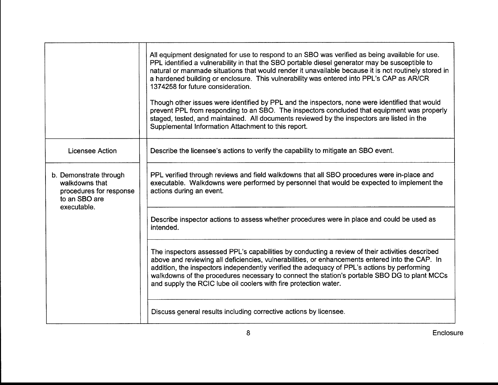|                                                                                                     | All equipment designated for use to respond to an SBO was verified as being available for use.<br>PPL identified a vulnerability in that the SBO portable diesel generator may be susceptible to<br>natural or manmade situations that would render it unavailable because it is not routinely stored in<br>a hardened building or enclosure. This vulnerability was entered into PPL's CAP as AR/CR<br>1374258 for future consideration.<br>Though other issues were identified by PPL and the inspectors, none were identified that would<br>prevent PPL from responding to an SBO. The inspectors concluded that equipment was properly<br>staged, tested, and maintained. All documents reviewed by the inspectors are listed in the<br>Supplemental Information Attachment to this report. |
|-----------------------------------------------------------------------------------------------------|-------------------------------------------------------------------------------------------------------------------------------------------------------------------------------------------------------------------------------------------------------------------------------------------------------------------------------------------------------------------------------------------------------------------------------------------------------------------------------------------------------------------------------------------------------------------------------------------------------------------------------------------------------------------------------------------------------------------------------------------------------------------------------------------------|
| <b>Licensee Action</b>                                                                              | Describe the licensee's actions to verify the capability to mitigate an SBO event.                                                                                                                                                                                                                                                                                                                                                                                                                                                                                                                                                                                                                                                                                                              |
| b. Demonstrate through<br>walkdowns that<br>procedures for response<br>to an SBO are<br>executable. | PPL verified through reviews and field walkdowns that all SBO procedures were in-place and<br>executable. Walkdowns were performed by personnel that would be expected to implement the<br>actions during an event.                                                                                                                                                                                                                                                                                                                                                                                                                                                                                                                                                                             |
|                                                                                                     | Describe inspector actions to assess whether procedures were in place and could be used as<br>intended.                                                                                                                                                                                                                                                                                                                                                                                                                                                                                                                                                                                                                                                                                         |
|                                                                                                     | The inspectors assessed PPL's capabilities by conducting a review of their activities described<br>above and reviewing all deficiencies, vulnerabilities, or enhancements entered into the CAP. In<br>addition, the inspectors independently verified the adequacy of PPL's actions by performing<br>walkdowns of the procedures necessary to connect the station's portable SBO DG to plant MCCs<br>and supply the RCIC lube oil coolers with fire protection water.                                                                                                                                                                                                                                                                                                                           |
|                                                                                                     | Discuss general results including corrective actions by licensee.                                                                                                                                                                                                                                                                                                                                                                                                                                                                                                                                                                                                                                                                                                                               |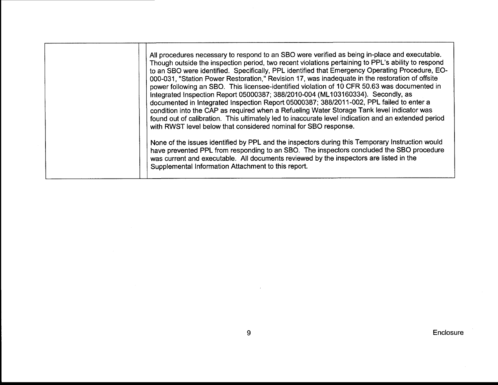| All procedures necessary to respond to an SBO were verified as being in-place and executable.<br>Though outside the inspection period, two recent violations pertaining to PPL's ability to respond<br>to an SBO were identified. Specifically, PPL identified that Emergency Operating Procedure, EO-<br>000-031, "Station Power Restoration," Revision 17, was inadequate in the restoration of offsite<br>power following an SBO. This licensee-identified violation of 10 CFR 50.63 was documented in<br>Integrated Inspection Report 05000387; 388/2010-004 (ML103160334). Secondly, as<br>documented in Integrated Inspection Report 05000387; 388/2011-002, PPL failed to enter a<br>condition into the CAP as required when a Refueling Water Storage Tank level indicator was<br>found out of calibration. This ultimately led to inaccurate level indication and an extended period<br>with RWST level below that considered nominal for SBO response.<br>None of the issues identified by PPL and the inspectors during this Temporary Instruction would |
|---------------------------------------------------------------------------------------------------------------------------------------------------------------------------------------------------------------------------------------------------------------------------------------------------------------------------------------------------------------------------------------------------------------------------------------------------------------------------------------------------------------------------------------------------------------------------------------------------------------------------------------------------------------------------------------------------------------------------------------------------------------------------------------------------------------------------------------------------------------------------------------------------------------------------------------------------------------------------------------------------------------------------------------------------------------------|
| have prevented PPL from responding to an SBO. The inspectors concluded the SBO procedure<br>was current and executable. All documents reviewed by the inspectors are listed in the<br>Supplemental Information Attachment to this report.                                                                                                                                                                                                                                                                                                                                                                                                                                                                                                                                                                                                                                                                                                                                                                                                                           |

**Enclosure**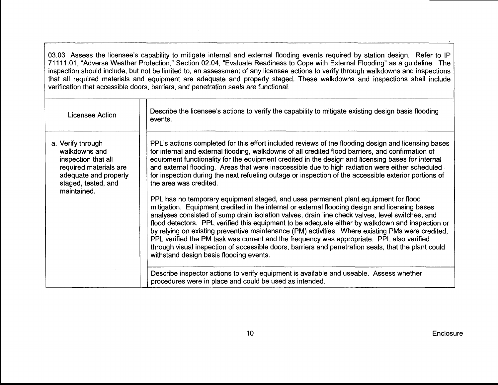03.03 Assess the licensee's capability to mitigate internal and external flooding events required by station design. Refer to lP 71111.01, "Adverse Weather Protection," Section 02.04, "Evaluate Readiness to Cope with External Flooding" as a guideline. The inspection should include, but not be limited to, an assessment of any licensee actions to verify through walkdowns and inspections that all required materials and equipment are adequate and properly staged. These walkdowns and inspections shall include verification that accessible doors, barriers, and penetration seals are functional.

| Licensee Action                                                                                                                                    | Describe the licensee's actions to verify the capability to mitigate existing design basis flooding<br>events.                                                                                                                                                                                                                                                                                                                                                                                                                                                                                                                                                                                                                                  |
|----------------------------------------------------------------------------------------------------------------------------------------------------|-------------------------------------------------------------------------------------------------------------------------------------------------------------------------------------------------------------------------------------------------------------------------------------------------------------------------------------------------------------------------------------------------------------------------------------------------------------------------------------------------------------------------------------------------------------------------------------------------------------------------------------------------------------------------------------------------------------------------------------------------|
| a. Verify through<br>walkdowns and<br>inspection that all<br>required materials are<br>adequate and properly<br>staged, tested, and<br>maintained. | PPL's actions completed for this effort included reviews of the flooding design and licensing bases<br>for internal and external flooding, walkdowns of all credited flood barriers, and confirmation of<br>equipment functionality for the equipment credited in the design and licensing bases for internal<br>and external flooding. Areas that were inaccessible due to high radiation were either scheduled<br>for inspection during the next refueling outage or inspection of the accessible exterior portions of<br>the area was credited.                                                                                                                                                                                              |
|                                                                                                                                                    | PPL has no temporary equipment staged, and uses permanent plant equipment for flood<br>mitigation. Equipment credited in the internal or external flooding design and licensing bases<br>analyses consisted of sump drain isolation valves, drain line check valves, level switches, and<br>flood detectors. PPL verified this equipment to be adequate either by walkdown and inspection or<br>by relying on existing preventive maintenance (PM) activities. Where existing PMs were credited,<br>PPL verified the PM task was current and the frequency was appropriate. PPL also verified<br>through visual inspection of accessible doors, barriers and penetration seals, that the plant could<br>withstand design basis flooding events. |
|                                                                                                                                                    | Describe inspector actions to verify equipment is available and useable. Assess whether<br>procedures were in place and could be used as intended.                                                                                                                                                                                                                                                                                                                                                                                                                                                                                                                                                                                              |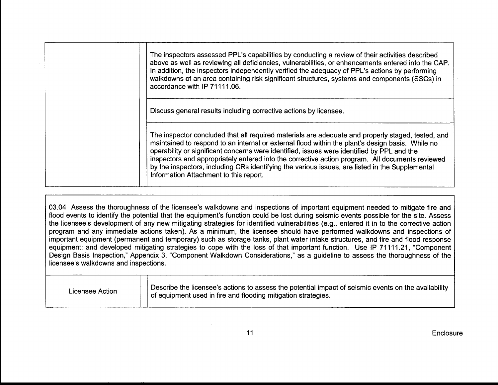| The inspectors assessed PPL's capabilities by conducting a review of their activities described<br>above as well as reviewing all deficiencies, vulnerabilities, or enhancements entered into the CAP.<br>In addition, the inspectors independently verified the adequacy of PPL's actions by performing<br>walkdowns of an area containing risk significant structures, systems and components (SSCs) in<br>accordance with IP 71111.06.                                                                                                           |
|-----------------------------------------------------------------------------------------------------------------------------------------------------------------------------------------------------------------------------------------------------------------------------------------------------------------------------------------------------------------------------------------------------------------------------------------------------------------------------------------------------------------------------------------------------|
| Discuss general results including corrective actions by licensee.                                                                                                                                                                                                                                                                                                                                                                                                                                                                                   |
| The inspector concluded that all required materials are adequate and properly staged, tested, and<br>maintained to respond to an internal or external flood within the plant's design basis. While no<br>operability or significant concerns were identified, issues were identified by PPL and the<br>inspectors and appropriately entered into the corrective action program. All documents reviewed<br>by the inspectors, including CRs identifying the various issues, are listed in the Supplemental<br>Information Attachment to this report. |

03.04 Assess the thoroughness of the licensee's walkdowns and inspections of important equipment needed to mitigate fire and flood events to identify the potential that the equipment's function could be lost during seismic events possible for the site. Assess the licensee's development of any new mitigating strategies for identified vulnerabilities (e.9., entered it in to the corrective action program and any immediate actions taken). As a minimum, the licensee should have performed walkdowns and inspections of important equipment (permanent and temporary) such as storage tanks, plant water intake structures, and fire and flood response equipment; and developed mitigating strategies to cope with the loss of that important function. Use lP 71111.21, "Component Design Basis Inspection," Appendix 3, "Component Walkdown Considerations," as a guideline to assess the thoroughness of the licensee's walkdowns and inspections.

| Licensee Action | Describe the licensee's actions to assess the potential impact of seismic events on the availability<br>of equipment used in fire and flooding mitigation strategies. |
|-----------------|-----------------------------------------------------------------------------------------------------------------------------------------------------------------------|
|-----------------|-----------------------------------------------------------------------------------------------------------------------------------------------------------------------|

**Enclosure**